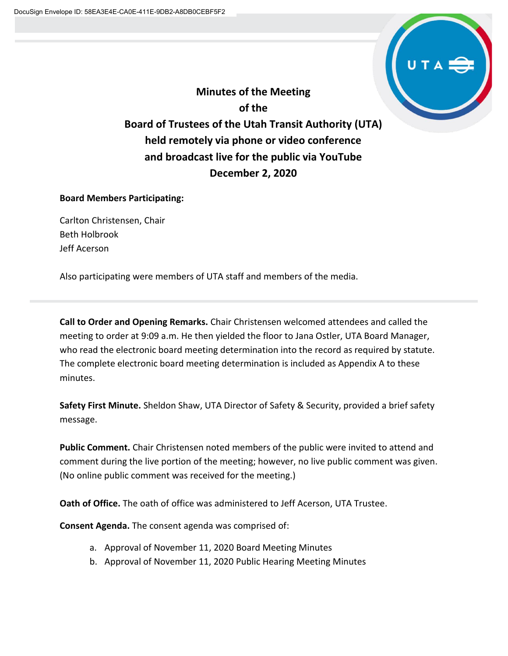

**Minutes of the Meeting of the Board of Trustees of the Utah Transit Authority (UTA) held remotely via phone or video conference and broadcast live for the public via YouTube December 2, 2020**

# **Board Members Participating:**

Carlton Christensen, Chair Beth Holbrook Jeff Acerson

Also participating were members of UTA staff and members of the media.

**Call to Order and Opening Remarks.** Chair Christensen welcomed attendees and called the meeting to order at 9:09 a.m. He then yielded the floor to Jana Ostler, UTA Board Manager, who read the electronic board meeting determination into the record as required by statute. The complete electronic board meeting determination is included as Appendix A to these minutes.

**Safety First Minute.** Sheldon Shaw, UTA Director of Safety & Security, provided a brief safety message.

**Public Comment.** Chair Christensen noted members of the public were invited to attend and comment during the live portion of the meeting; however, no live public comment was given. (No online public comment was received for the meeting.)

**Oath of Office.** The oath of office was administered to Jeff Acerson, UTA Trustee.

**Consent Agenda.** The consent agenda was comprised of:

- a. Approval of November 11, 2020 Board Meeting Minutes
- b. Approval of November 11, 2020 Public Hearing Meeting Minutes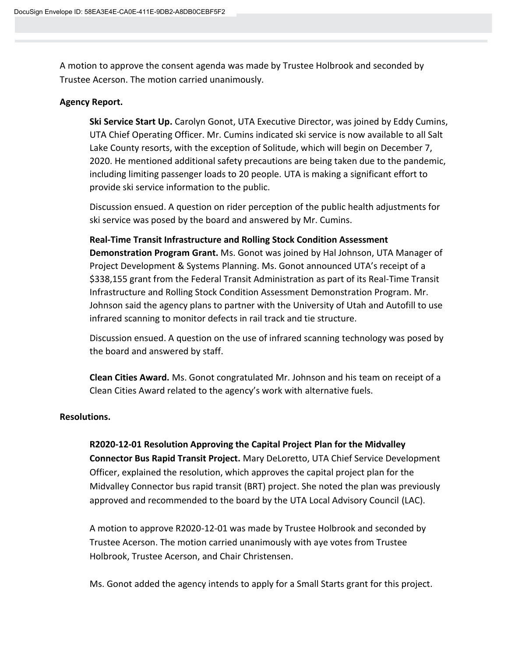A motion to approve the consent agenda was made by Trustee Holbrook and seconded by Trustee Acerson. The motion carried unanimously.

## **Agency Report.**

**Ski Service Start Up.** Carolyn Gonot, UTA Executive Director, was joined by Eddy Cumins, UTA Chief Operating Officer. Mr. Cumins indicated ski service is now available to all Salt Lake County resorts, with the exception of Solitude, which will begin on December 7, 2020. He mentioned additional safety precautions are being taken due to the pandemic, including limiting passenger loads to 20 people. UTA is making a significant effort to provide ski service information to the public.

Discussion ensued. A question on rider perception of the public health adjustments for ski service was posed by the board and answered by Mr. Cumins.

**Real-Time Transit Infrastructure and Rolling Stock Condition Assessment Demonstration Program Grant.** Ms. Gonot was joined by Hal Johnson, UTA Manager of Project Development & Systems Planning. Ms. Gonot announced UTA's receipt of a \$338,155 grant from the Federal Transit Administration as part of its Real-Time Transit Infrastructure and Rolling Stock Condition Assessment Demonstration Program. Mr. Johnson said the agency plans to partner with the University of Utah and Autofill to use infrared scanning to monitor defects in rail track and tie structure.

Discussion ensued. A question on the use of infrared scanning technology was posed by the board and answered by staff.

**Clean Cities Award.** Ms. Gonot congratulated Mr. Johnson and his team on receipt of a Clean Cities Award related to the agency's work with alternative fuels.

# **Resolutions.**

# **R2020-12-01 Resolution Approving the Capital Project Plan for the Midvalley**

**Connector Bus Rapid Transit Project.** Mary DeLoretto, UTA Chief Service Development Officer, explained the resolution, which approves the capital project plan for the Midvalley Connector bus rapid transit (BRT) project. She noted the plan was previously approved and recommended to the board by the UTA Local Advisory Council (LAC).

A motion to approve R2020-12-01 was made by Trustee Holbrook and seconded by Trustee Acerson. The motion carried unanimously with aye votes from Trustee Holbrook, Trustee Acerson, and Chair Christensen.

Ms. Gonot added the agency intends to apply for a Small Starts grant for this project.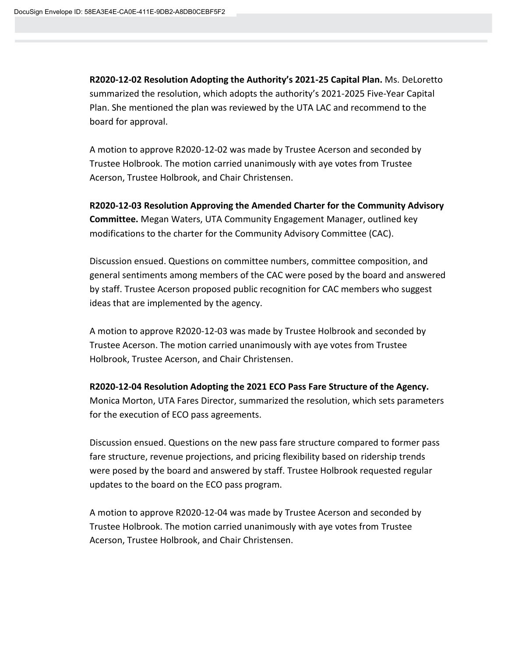**R2020-12-02 Resolution Adopting the Authority's 2021-25 Capital Plan.** Ms. DeLoretto summarized the resolution, which adopts the authority's 2021-2025 Five-Year Capital Plan. She mentioned the plan was reviewed by the UTA LAC and recommend to the board for approval.

A motion to approve R2020-12-02 was made by Trustee Acerson and seconded by Trustee Holbrook. The motion carried unanimously with aye votes from Trustee Acerson, Trustee Holbrook, and Chair Christensen.

**R2020-12-03 Resolution Approving the Amended Charter for the Community Advisory Committee.** Megan Waters, UTA Community Engagement Manager, outlined key modifications to the charter for the Community Advisory Committee (CAC).

Discussion ensued. Questions on committee numbers, committee composition, and general sentiments among members of the CAC were posed by the board and answered by staff. Trustee Acerson proposed public recognition for CAC members who suggest ideas that are implemented by the agency.

A motion to approve R2020-12-03 was made by Trustee Holbrook and seconded by Trustee Acerson. The motion carried unanimously with aye votes from Trustee Holbrook, Trustee Acerson, and Chair Christensen.

**R2020-12-04 Resolution Adopting the 2021 ECO Pass Fare Structure of the Agency.** 

Monica Morton, UTA Fares Director, summarized the resolution, which sets parameters for the execution of ECO pass agreements.

Discussion ensued. Questions on the new pass fare structure compared to former pass fare structure, revenue projections, and pricing flexibility based on ridership trends were posed by the board and answered by staff. Trustee Holbrook requested regular updates to the board on the ECO pass program.

A motion to approve R2020-12-04 was made by Trustee Acerson and seconded by Trustee Holbrook. The motion carried unanimously with aye votes from Trustee Acerson, Trustee Holbrook, and Chair Christensen.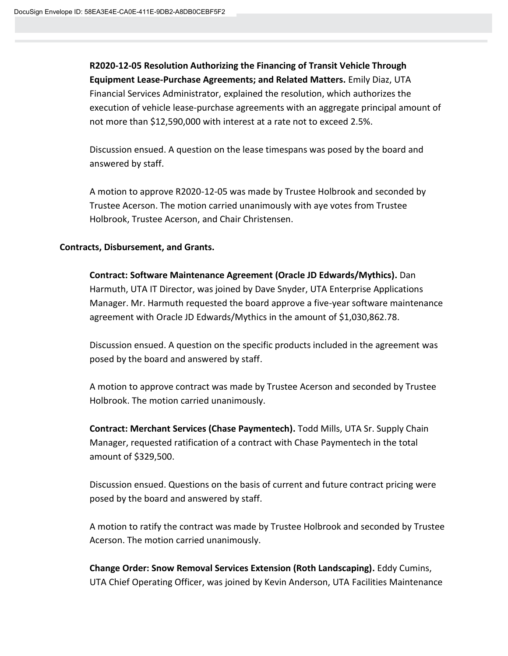**R2020-12-05 Resolution Authorizing the Financing of Transit Vehicle Through Equipment Lease-Purchase Agreements; and Related Matters.** Emily Diaz, UTA Financial Services Administrator, explained the resolution, which authorizes the execution of vehicle lease-purchase agreements with an aggregate principal amount of not more than \$12,590,000 with interest at a rate not to exceed 2.5%.

Discussion ensued. A question on the lease timespans was posed by the board and answered by staff.

A motion to approve R2020-12-05 was made by Trustee Holbrook and seconded by Trustee Acerson. The motion carried unanimously with aye votes from Trustee Holbrook, Trustee Acerson, and Chair Christensen.

#### **Contracts, Disbursement, and Grants.**

**Contract: Software Maintenance Agreement (Oracle JD Edwards/Mythics).** Dan Harmuth, UTA IT Director, was joined by Dave Snyder, UTA Enterprise Applications Manager. Mr. Harmuth requested the board approve a five-year software maintenance agreement with Oracle JD Edwards/Mythics in the amount of \$1,030,862.78.

Discussion ensued. A question on the specific products included in the agreement was posed by the board and answered by staff.

A motion to approve contract was made by Trustee Acerson and seconded by Trustee Holbrook. The motion carried unanimously.

**Contract: Merchant Services (Chase Paymentech).** Todd Mills, UTA Sr. Supply Chain Manager, requested ratification of a contract with Chase Paymentech in the total amount of \$329,500.

Discussion ensued. Questions on the basis of current and future contract pricing were posed by the board and answered by staff.

A motion to ratify the contract was made by Trustee Holbrook and seconded by Trustee Acerson. The motion carried unanimously.

**Change Order: Snow Removal Services Extension (Roth Landscaping).** Eddy Cumins, UTA Chief Operating Officer, was joined by Kevin Anderson, UTA Facilities Maintenance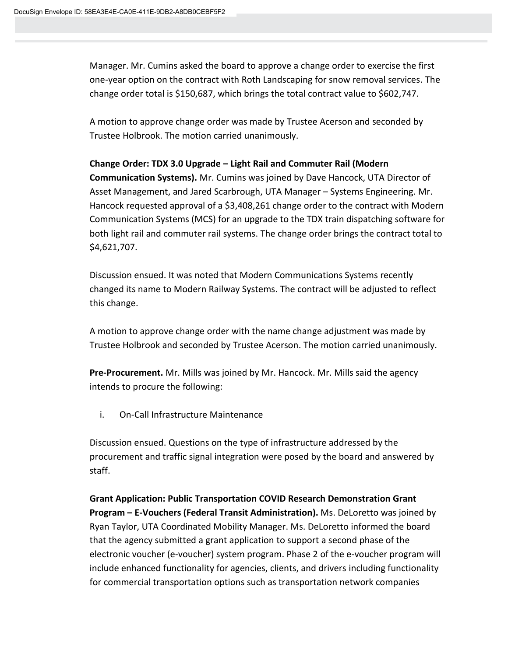Manager. Mr. Cumins asked the board to approve a change order to exercise the first one-year option on the contract with Roth Landscaping for snow removal services. The change order total is \$150,687, which brings the total contract value to \$602,747.

A motion to approve change order was made by Trustee Acerson and seconded by Trustee Holbrook. The motion carried unanimously.

### **Change Order: TDX 3.0 Upgrade – Light Rail and Commuter Rail (Modern**

**Communication Systems).** Mr. Cumins was joined by Dave Hancock, UTA Director of Asset Management, and Jared Scarbrough, UTA Manager – Systems Engineering. Mr. Hancock requested approval of a \$3,408,261 change order to the contract with Modern Communication Systems (MCS) for an upgrade to the TDX train dispatching software for both light rail and commuter rail systems. The change order brings the contract total to \$4,621,707.

Discussion ensued. It was noted that Modern Communications Systems recently changed its name to Modern Railway Systems. The contract will be adjusted to reflect this change.

A motion to approve change order with the name change adjustment was made by Trustee Holbrook and seconded by Trustee Acerson. The motion carried unanimously.

**Pre-Procurement.** Mr. Mills was joined by Mr. Hancock. Mr. Mills said the agency intends to procure the following:

i. On-Call Infrastructure Maintenance

Discussion ensued. Questions on the type of infrastructure addressed by the procurement and traffic signal integration were posed by the board and answered by staff.

**Grant Application: Public Transportation COVID Research Demonstration Grant Program – E-Vouchers (Federal Transit Administration).** Ms. DeLoretto was joined by Ryan Taylor, UTA Coordinated Mobility Manager. Ms. DeLoretto informed the board that the agency submitted a grant application to support a second phase of the electronic voucher (e-voucher) system program. Phase 2 of the e-voucher program will include enhanced functionality for agencies, clients, and drivers including functionality for commercial transportation options such as transportation network companies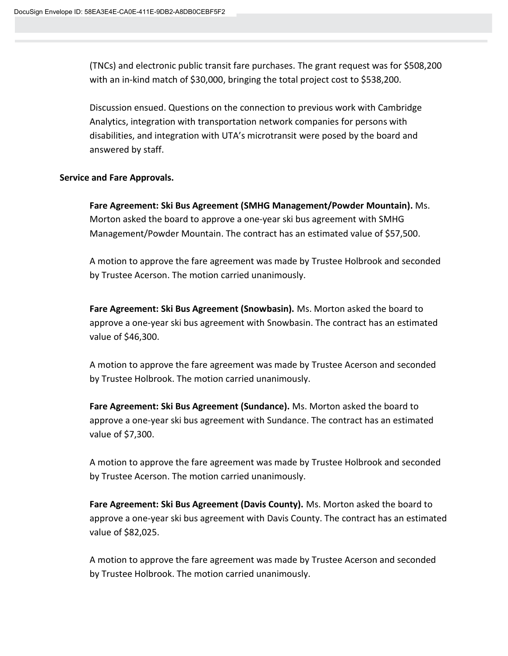(TNCs) and electronic public transit fare purchases. The grant request was for \$508,200 with an in-kind match of \$30,000, bringing the total project cost to \$538,200.

Discussion ensued. Questions on the connection to previous work with Cambridge Analytics, integration with transportation network companies for persons with disabilities, and integration with UTA's microtransit were posed by the board and answered by staff.

#### **Service and Fare Approvals.**

**Fare Agreement: Ski Bus Agreement (SMHG Management/Powder Mountain).** Ms. Morton asked the board to approve a one-year ski bus agreement with SMHG Management/Powder Mountain. The contract has an estimated value of \$57,500.

A motion to approve the fare agreement was made by Trustee Holbrook and seconded by Trustee Acerson. The motion carried unanimously.

**Fare Agreement: Ski Bus Agreement (Snowbasin).** Ms. Morton asked the board to approve a one-year ski bus agreement with Snowbasin. The contract has an estimated value of \$46,300.

A motion to approve the fare agreement was made by Trustee Acerson and seconded by Trustee Holbrook. The motion carried unanimously.

**Fare Agreement: Ski Bus Agreement (Sundance).** Ms. Morton asked the board to approve a one-year ski bus agreement with Sundance. The contract has an estimated value of \$7,300.

A motion to approve the fare agreement was made by Trustee Holbrook and seconded by Trustee Acerson. The motion carried unanimously.

**Fare Agreement: Ski Bus Agreement (Davis County).** Ms. Morton asked the board to approve a one-year ski bus agreement with Davis County. The contract has an estimated value of \$82,025.

A motion to approve the fare agreement was made by Trustee Acerson and seconded by Trustee Holbrook. The motion carried unanimously.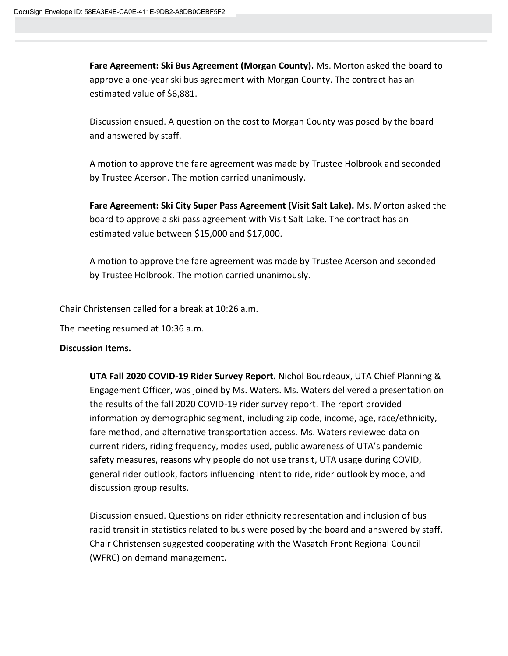**Fare Agreement: Ski Bus Agreement (Morgan County).** Ms. Morton asked the board to approve a one-year ski bus agreement with Morgan County. The contract has an estimated value of \$6,881.

Discussion ensued. A question on the cost to Morgan County was posed by the board and answered by staff.

A motion to approve the fare agreement was made by Trustee Holbrook and seconded by Trustee Acerson. The motion carried unanimously.

**Fare Agreement: Ski City Super Pass Agreement (Visit Salt Lake).** Ms. Morton asked the board to approve a ski pass agreement with Visit Salt Lake. The contract has an estimated value between \$15,000 and \$17,000.

A motion to approve the fare agreement was made by Trustee Acerson and seconded by Trustee Holbrook. The motion carried unanimously.

Chair Christensen called for a break at 10:26 a.m.

The meeting resumed at 10:36 a.m.

#### **Discussion Items.**

**UTA Fall 2020 COVID-19 Rider Survey Report.** Nichol Bourdeaux, UTA Chief Planning & Engagement Officer, was joined by Ms. Waters. Ms. Waters delivered a presentation on the results of the fall 2020 COVID-19 rider survey report. The report provided information by demographic segment, including zip code, income, age, race/ethnicity, fare method, and alternative transportation access. Ms. Waters reviewed data on current riders, riding frequency, modes used, public awareness of UTA's pandemic safety measures, reasons why people do not use transit, UTA usage during COVID, general rider outlook, factors influencing intent to ride, rider outlook by mode, and discussion group results.

Discussion ensued. Questions on rider ethnicity representation and inclusion of bus rapid transit in statistics related to bus were posed by the board and answered by staff. Chair Christensen suggested cooperating with the Wasatch Front Regional Council (WFRC) on demand management.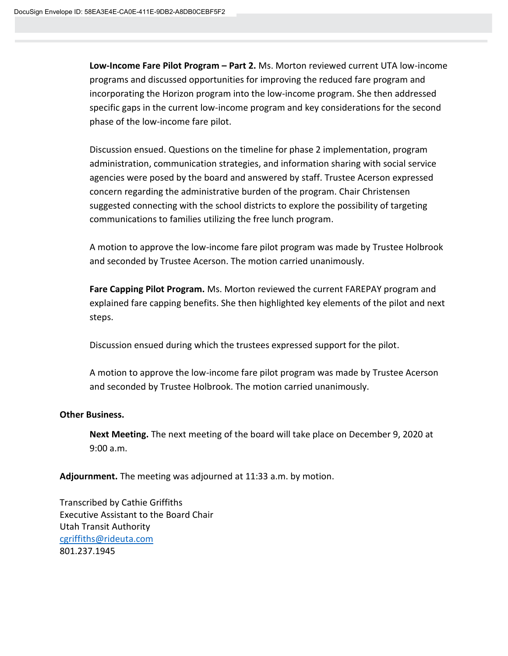**Low-Income Fare Pilot Program – Part 2.** Ms. Morton reviewed current UTA low-income programs and discussed opportunities for improving the reduced fare program and incorporating the Horizon program into the low-income program. She then addressed specific gaps in the current low-income program and key considerations for the second phase of the low-income fare pilot.

Discussion ensued. Questions on the timeline for phase 2 implementation, program administration, communication strategies, and information sharing with social service agencies were posed by the board and answered by staff. Trustee Acerson expressed concern regarding the administrative burden of the program. Chair Christensen suggested connecting with the school districts to explore the possibility of targeting communications to families utilizing the free lunch program.

A motion to approve the low-income fare pilot program was made by Trustee Holbrook and seconded by Trustee Acerson. The motion carried unanimously.

**Fare Capping Pilot Program.** Ms. Morton reviewed the current FAREPAY program and explained fare capping benefits. She then highlighted key elements of the pilot and next steps.

Discussion ensued during which the trustees expressed support for the pilot.

A motion to approve the low-income fare pilot program was made by Trustee Acerson and seconded by Trustee Holbrook. The motion carried unanimously.

# **Other Business.**

**Next Meeting.** The next meeting of the board will take place on December 9, 2020 at 9:00 a.m.

**Adjournment.** The meeting was adjourned at 11:33 a.m. by motion.

Transcribed by Cathie Griffiths Executive Assistant to the Board Chair Utah Transit Authority [cgriffiths@rideuta.com](mailto:cgriffiths@rideuta.com) 801.237.1945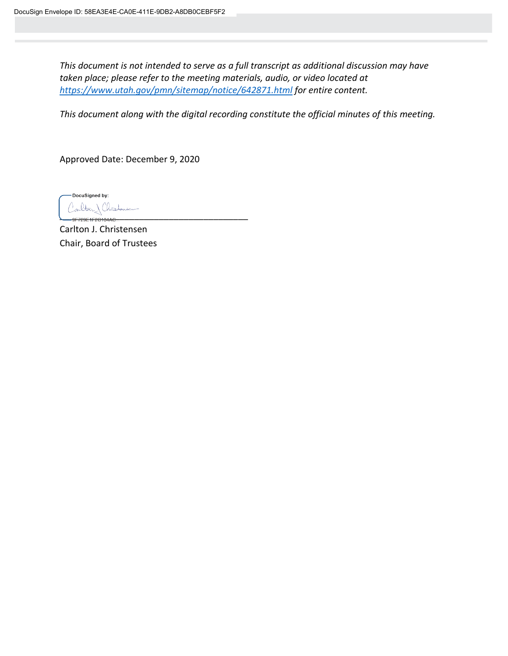*This document is not intended to serve as a full transcript as additional discussion may have taken place; please refer to the meeting materials, audio, or video located at <https://www.utah.gov/pmn/sitemap/notice/642871.html> for entire content.*

*This document along with the digital recording constitute the official minutes of this meeting.*

Approved Date: December 9, 2020

DocuSigned by: Carlton Christov \_\_\_\_\_\_\_\_\_\_\_\_\_\_\_\_\_\_\_\_\_\_\_\_\_\_\_\_\_\_\_\_\_\_\_\_\_\_

Carlton J. Christensen Chair, Board of Trustees